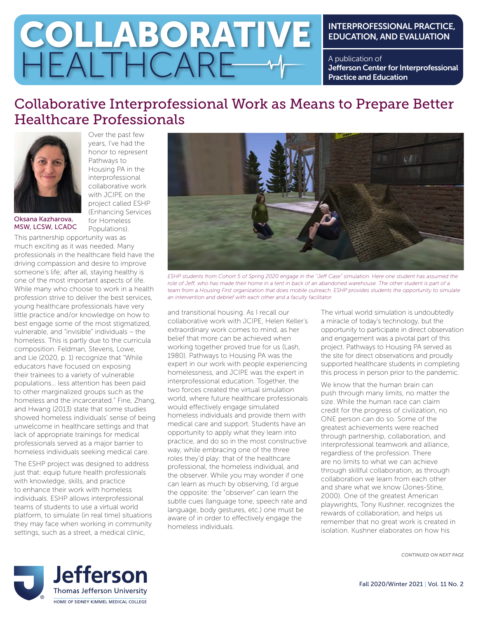# COLLABORATIVE HEALTHCARE

## INTERPROFESSIONAL PRACTICE, EDUCATION, AND EVALUATION

A publication of Jefferson Center for Interprofessional Practice and Education

## Collaborative Interprofessional Work as Means to Prepare Better Healthcare Professionals



Over the past few years, I've had the honor to represent Pathways to Housing PA in the interprofessional collaborative work with JCIPE on the project called ESHP (Enhancing Services for Homeless Populations).

Oksana Kazharova, MSW, LCSW, LCADC

This partnership opportunity was as much exciting as it was needed. Many professionals in the healthcare field have the driving compassion and desire to improve someone's life; after all, staying healthy is one of the most important aspects of life. While many who choose to work in a health profession strive to deliver the best services, young healthcare professionals have very little practice and/or knowledge on how to best engage some of the most stigmatized, vulnerable, and "invisible" individuals – the homeless. This is partly due to the curricula composition. Feldman, Stevens, Lowe, and Lie (2020, p. 1) recognize that "While educators have focused on exposing their trainees to a variety of vulnerable populations… less attention has been paid to other marginalized groups such as the homeless and the incarcerated." Fine, Zhang, and Hwang (2013) state that some studies showed homeless individuals' sense of being unwelcome in healthcare settings and that lack of appropriate trainings for medical professionals served as a major barrier to homeless individuals seeking medical care.

The ESHP project was designed to address just that: equip future health professionals with knowledge, skills, and practice to enhance their work with homeless individuals. ESHP allows interprofessional teams of students to use a virtual world platform, to simulate (in real time) situations they may face when working in community settings, such as a street, a medical clinic,



*ESHP students from Cohort 5 of Spring 2020 engage in the ''Jeff Case" simulation. Here one student has assumed the*  role of Jeff, who has made their home in a tent in back of an abandoned warehouse. The other student is part of a team from a Housing First organization that does mobile outreach. ESHP provides students the opportunity to simulate *an intervention and debrief with each other and a faculty facilitator.*

and transitional housing. As I recall our collaborative work with JCIPE, Helen Keller's extraordinary work comes to mind, as her belief that more can be achieved when working together proved true for us (Lash, 1980). Pathways to Housing PA was the expert in our work with people experiencing homelessness, and JCIPE was the expert in interprofessional education. Together, the two forces created the virtual simulation world, where future healthcare professionals would effectively engage simulated homeless individuals and provide them with medical care and support. Students have an opportunity to apply what they learn into practice, and do so in the most constructive way, while embracing one of the three roles they'd play: that of the healthcare professional, the homeless individual, and the observer. While you may wonder if one can learn as much by observing, I'd argue the opposite: the "observer" can learn the subtle cues (language tone, speech rate and language, body gestures, etc.) one must be aware of in order to effectively engage the homeless individuals.

The virtual world simulation is undoubtedly a miracle of today's technology, but the opportunity to participate in direct observation and engagement was a pivotal part of this project. Pathways to Housing PA served as the site for direct observations and proudly supported healthcare students in completing this process in person prior to the pandemic.

We know that the human brain can push through many limits, no matter the size. While the human race can claim credit for the progress of civilization, no ONE person can do so. Some of the greatest achievements were reached through partnership, collaboration, and interprofessional teamwork and alliance, regardless of the profession. There are no limits to what we can achieve through skillful collaboration, as through collaboration we learn from each other and share what we know (Jones-Stine, 2000). One of the greatest American playwrights, Tony Kushner, recognizes the rewards of collaboration, and helps us remember that no great work is created in isolation. Kushner elaborates on how his